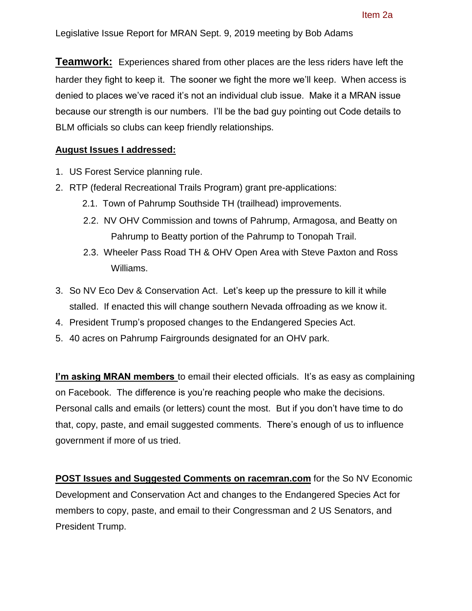**Teamwork:** Experiences shared from other places are the less riders have left the harder they fight to keep it. The sooner we fight the more we'll keep. When access is denied to places we've raced it's not an individual club issue. Make it a MRAN issue because our strength is our numbers. I'll be the bad guy pointing out Code details to BLM officials so clubs can keep friendly relationships.

## **August Issues I addressed:**

- 1. US Forest Service planning rule.
- 2. RTP (federal Recreational Trails Program) grant pre-applications:
	- 2.1. Town of Pahrump Southside TH (trailhead) improvements.
	- 2.2. NV OHV Commission and towns of Pahrump, Armagosa, and Beatty on Pahrump to Beatty portion of the Pahrump to Tonopah Trail.
	- 2.3. Wheeler Pass Road TH & OHV Open Area with Steve Paxton and Ross Williams.
- 3. So NV Eco Dev & Conservation Act. Let's keep up the pressure to kill it while stalled. If enacted this will change southern Nevada offroading as we know it.
- 4. President Trump's proposed changes to the Endangered Species Act.
- 5. 40 acres on Pahrump Fairgrounds designated for an OHV park.

**I'm asking MRAN members** to email their elected officials. It's as easy as complaining on Facebook. The difference is you're reaching people who make the decisions. Personal calls and emails (or letters) count the most. But if you don't have time to do that, copy, paste, and email suggested comments. There's enough of us to influence government if more of us tried.

**POST Issues and Suggested Comments on racemran.com** for the So NV Economic Development and Conservation Act and changes to the Endangered Species Act for members to copy, paste, and email to their Congressman and 2 US Senators, and President Trump.